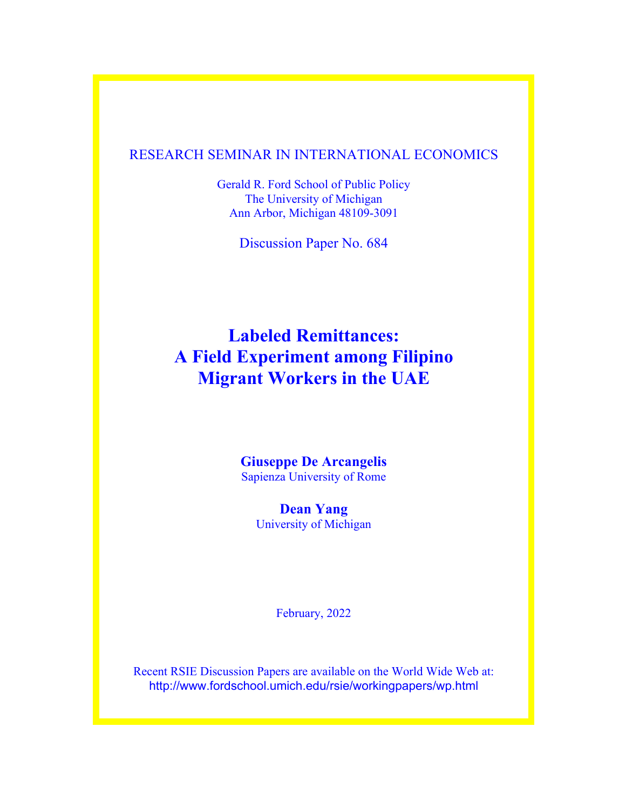### RESEARCH SEMINAR IN INTERNATIONAL ECONOMICS

Gerald R. Ford School of Public Policy The University of Michigan Ann Arbor, Michigan 48109-3091

Discussion Paper No. 684

# **Labeled Remittances: A Field Experiment among Filipino Migrant Workers in the UAE**

**Giuseppe De Arcangelis** Sapienza University of Rome

> **Dean Yang** University of Michigan

> > February, 2022

Recent RSIE Discussion Papers are available on the World Wide Web at: http://www.fordschool.umich.edu/rsie/workingpapers/wp.html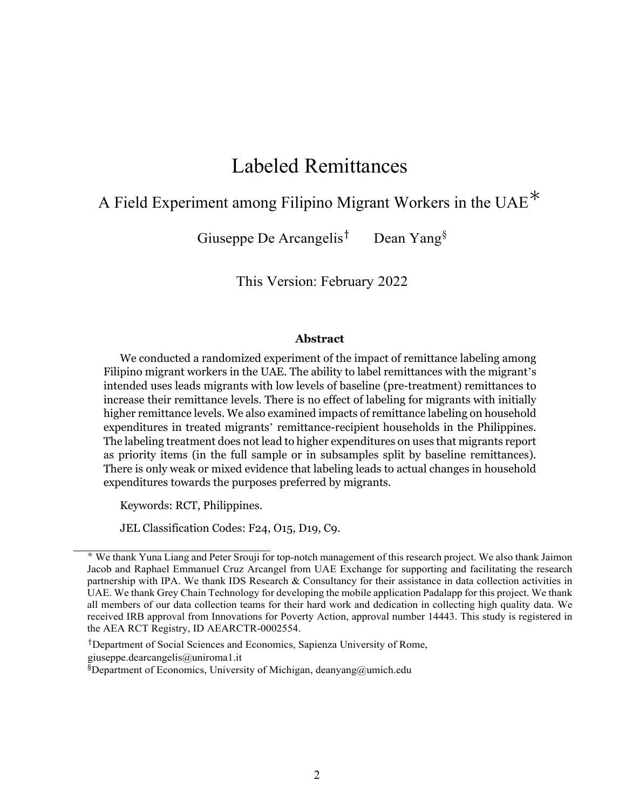# Labeled Remittances

# A Field Experiment among Filipino Migrant Workers in the UAE<sup>\*</sup>

Giuseppe De Arcangelis† Dean Yang§

This Version: February 2022

#### **Abstract**

We conducted a randomized experiment of the impact of remittance labeling among Filipino migrant workers in the UAE. The ability to label remittances with the migrant's intended uses leads migrants with low levels of baseline (pre-treatment) remittances to increase their remittance levels. There is no effect of labeling for migrants with initially higher remittance levels. We also examined impacts of remittance labeling on household expenditures in treated migrants' remittance-recipient households in the Philippines. The labeling treatment does not lead to higher expenditures on uses that migrants report as priority items (in the full sample or in subsamples split by baseline remittances). There is only weak or mixed evidence that labeling leads to actual changes in household expenditures towards the purposes preferred by migrants.

Keywords: RCT, Philippines.

JEL Classification Codes: F24, O15, D19, C9.

†Department of Social Sciences and Economics, Sapienza University of Rome,

giuseppe.dearcangelis@uniroma1.it

<sup>∗</sup> We thank Yuna Liang and Peter Srouji for top-notch management of this research project. We also thank Jaimon Jacob and Raphael Emmanuel Cruz Arcangel from UAE Exchange for supporting and facilitating the research partnership with IPA. We thank IDS Research & Consultancy for their assistance in data collection activities in UAE. We thank Grey Chain Technology for developing the mobile application Padalapp for this project. We thank all members of our data collection teams for their hard work and dedication in collecting high quality data. We received IRB approval from Innovations for Poverty Action, approval number 14443. This study is registered in the AEA RCT Registry, ID AEARCTR-0002554.

 $$$ Department of Economics, University of Michigan, deanyang@umich.edu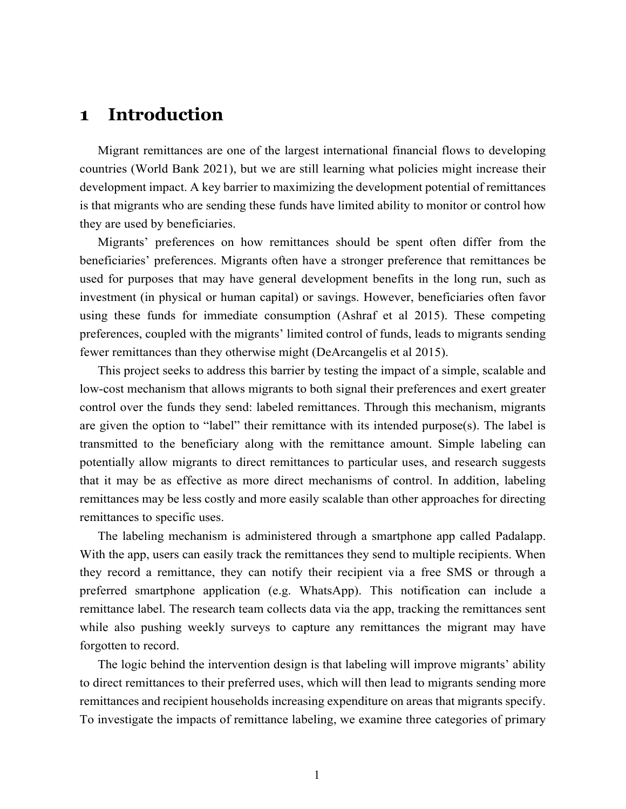### **1 Introduction**

Migrant remittances are one of the largest international financial flows to developing countries (World Bank 2021), but we are still learning what policies might increase their development impact. A key barrier to maximizing the development potential of remittances is that migrants who are sending these funds have limited ability to monitor or control how they are used by beneficiaries.

Migrants' preferences on how remittances should be spent often differ from the beneficiaries' preferences. Migrants often have a stronger preference that remittances be used for purposes that may have general development benefits in the long run, such as investment (in physical or human capital) or savings. However, beneficiaries often favor using these funds for immediate consumption (Ashraf et al 2015). These competing preferences, coupled with the migrants' limited control of funds, leads to migrants sending fewer remittances than they otherwise might (DeArcangelis et al 2015).

This project seeks to address this barrier by testing the impact of a simple, scalable and low-cost mechanism that allows migrants to both signal their preferences and exert greater control over the funds they send: labeled remittances. Through this mechanism, migrants are given the option to "label" their remittance with its intended purpose(s). The label is transmitted to the beneficiary along with the remittance amount. Simple labeling can potentially allow migrants to direct remittances to particular uses, and research suggests that it may be as effective as more direct mechanisms of control. In addition, labeling remittances may be less costly and more easily scalable than other approaches for directing remittances to specific uses.

The labeling mechanism is administered through a smartphone app called Padalapp. With the app, users can easily track the remittances they send to multiple recipients. When they record a remittance, they can notify their recipient via a free SMS or through a preferred smartphone application (e.g. WhatsApp). This notification can include a remittance label. The research team collects data via the app, tracking the remittances sent while also pushing weekly surveys to capture any remittances the migrant may have forgotten to record.

The logic behind the intervention design is that labeling will improve migrants' ability to direct remittances to their preferred uses, which will then lead to migrants sending more remittances and recipient households increasing expenditure on areas that migrants specify. To investigate the impacts of remittance labeling, we examine three categories of primary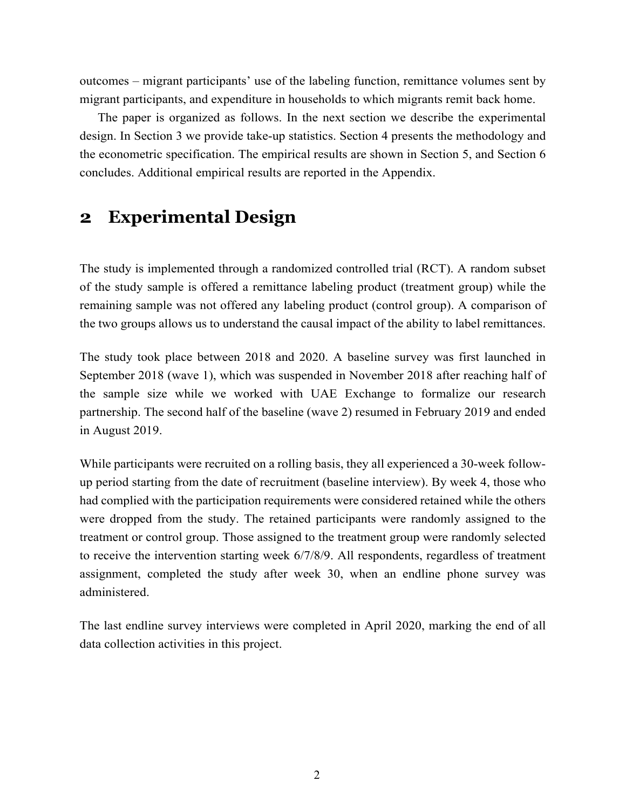outcomes – migrant participants' use of the labeling function, remittance volumes sent by migrant participants, and expenditure in households to which migrants remit back home.

The paper is organized as follows. In the next section we describe the experimental design. In Section 3 we provide take-up statistics. Section 4 presents the methodology and the econometric specification. The empirical results are shown in Section 5, and Section 6 concludes. Additional empirical results are reported in the Appendix.

### **2 Experimental Design**

The study is implemented through a randomized controlled trial (RCT). A random subset of the study sample is offered a remittance labeling product (treatment group) while the remaining sample was not offered any labeling product (control group). A comparison of the two groups allows us to understand the causal impact of the ability to label remittances.

The study took place between 2018 and 2020. A baseline survey was first launched in September 2018 (wave 1), which was suspended in November 2018 after reaching half of the sample size while we worked with UAE Exchange to formalize our research partnership. The second half of the baseline (wave 2) resumed in February 2019 and ended in August 2019.

While participants were recruited on a rolling basis, they all experienced a 30-week followup period starting from the date of recruitment (baseline interview). By week 4, those who had complied with the participation requirements were considered retained while the others were dropped from the study. The retained participants were randomly assigned to the treatment or control group. Those assigned to the treatment group were randomly selected to receive the intervention starting week 6/7/8/9. All respondents, regardless of treatment assignment, completed the study after week 30, when an endline phone survey was administered.

The last endline survey interviews were completed in April 2020, marking the end of all data collection activities in this project.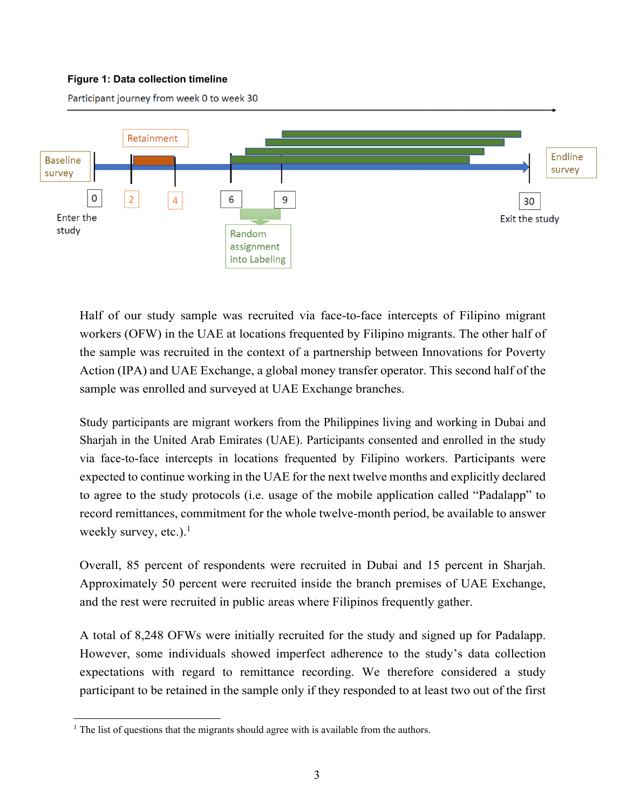### **Figure 1: Data collection timeline**

Participant journey from week 0 to week 30



Half of our study sample was recruited via face-to-face intercepts of Filipino migrant workers (OFW) in the UAE at locations frequented by Filipino migrants. The other half of the sample was recruited in the context of a partnership between Innovations for Poverty Action (IPA) and UAE Exchange, a global money transfer operator. This second half of the sample was enrolled and surveyed at UAE Exchange branches.

Study participants are migrant workers from the Philippines living and working in Dubai and Sharjah in the United Arab Emirates (UAE). Participants consented and enrolled in the study via face-to-face intercepts in locations frequented by Filipino workers. Participants were expected to continue working in the UAE for the next twelve months and explicitly declared to agree to the study protocols (i.e. usage of the mobile application called "Padalapp" to record remittances, commitment for the whole twelve-month period, be available to answer weekly survey, etc.).<sup>1</sup>

Overall, 85 percent of respondents were recruited in Dubai and 15 percent in Sharjah. Approximately 50 percent were recruited inside the branch premises of UAE Exchange, and the rest were recruited in public areas where Filipinos frequently gather.

A total of 8,248 OFWs were initially recruited for the study and signed up for Padalapp. However, some individuals showed imperfect adherence to the study's data collection expectations with regard to remittance recording. We therefore considered a study participant to be retained in the sample only if they responded to at least two out of the first

l

 $<sup>1</sup>$  The list of questions that the migrants should agree with is available from the authors.</sup>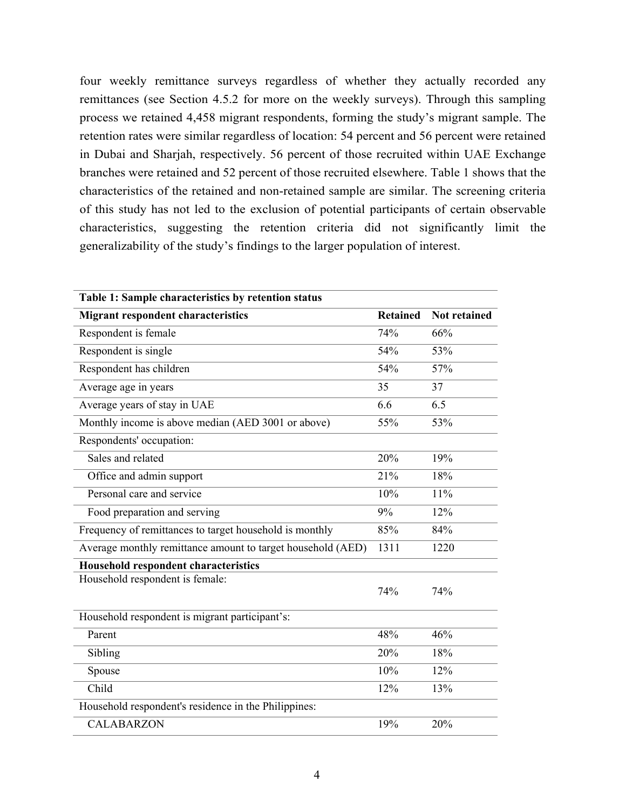four weekly remittance surveys regardless of whether they actually recorded any remittances (see Section 4.5.2 for more on the weekly surveys). Through this sampling process we retained 4,458 migrant respondents, forming the study's migrant sample. The retention rates were similar regardless of location: 54 percent and 56 percent were retained in Dubai and Sharjah, respectively. 56 percent of those recruited within UAE Exchange branches were retained and 52 percent of those recruited elsewhere. Table 1 shows that the characteristics of the retained and non-retained sample are similar. The screening criteria of this study has not led to the exclusion of potential participants of certain observable characteristics, suggesting the retention criteria did not significantly limit the generalizability of the study's findings to the larger population of interest.

| Table 1: Sample characteristics by retention status         |                 |                     |
|-------------------------------------------------------------|-----------------|---------------------|
| <b>Migrant respondent characteristics</b>                   | <b>Retained</b> | <b>Not retained</b> |
| Respondent is female                                        | 74%             | 66%                 |
| Respondent is single                                        | 54%             | 53%                 |
| Respondent has children                                     | 54%             | 57%                 |
| Average age in years                                        | 35              | 37                  |
| Average years of stay in UAE                                | 6.6             | 6.5                 |
| Monthly income is above median (AED 3001 or above)          | 55%             | 53%                 |
| Respondents' occupation:                                    |                 |                     |
| Sales and related                                           | 20%             | 19%                 |
| Office and admin support                                    | 21%             | 18%                 |
| Personal care and service                                   | 10%             | 11%                 |
| Food preparation and serving                                | 9%              | 12%                 |
| Frequency of remittances to target household is monthly     | 85%             | 84%                 |
| Average monthly remittance amount to target household (AED) | 1311            | 1220                |
| <b>Household respondent characteristics</b>                 |                 |                     |
| Household respondent is female:                             | 74%             | 74%                 |
| Household respondent is migrant participant's:              |                 |                     |
| Parent                                                      | 48%             | 46%                 |
| Sibling                                                     | 20%             | 18%                 |
| Spouse                                                      | 10%             | 12%                 |
| Child                                                       | 12%             | 13%                 |
| Household respondent's residence in the Philippines:        |                 |                     |
| <b>CALABARZON</b>                                           | 19%             | 20%                 |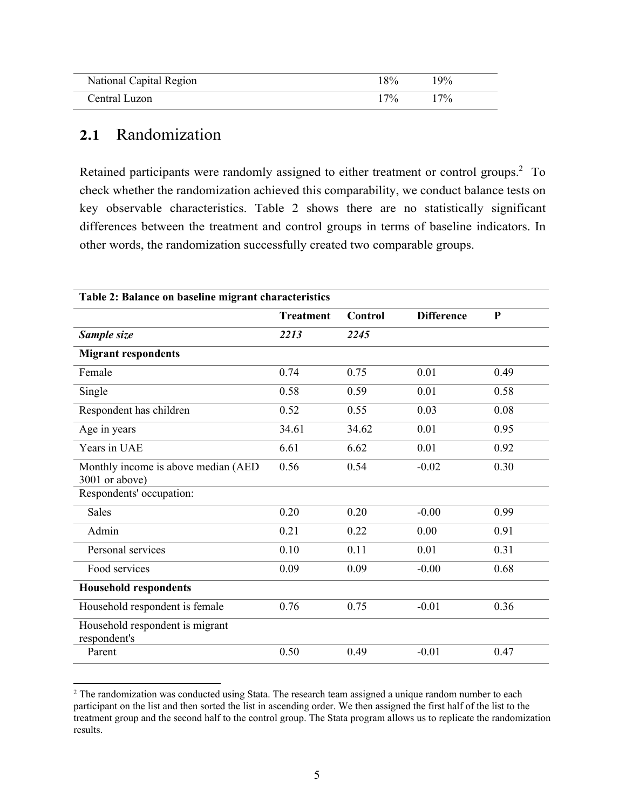| National Capital Region | 8%    | $19\%$ |
|-------------------------|-------|--------|
| Central Luzon           | $7\%$ | $7\%$  |

### **2.1** Randomization

l

Retained participants were randomly assigned to either treatment or control groups.<sup>2</sup> To check whether the randomization achieved this comparability, we conduct balance tests on key observable characteristics. Table 2 shows there are no statistically significant differences between the treatment and control groups in terms of baseline indicators. In other words, the randomization successfully created two comparable groups.

| Table 2: Balance on baseline migrant characteristics  |                  |                |                   |              |  |
|-------------------------------------------------------|------------------|----------------|-------------------|--------------|--|
|                                                       | <b>Treatment</b> | <b>Control</b> | <b>Difference</b> | $\mathbf{P}$ |  |
| Sample size                                           | 2213             | 2245           |                   |              |  |
| <b>Migrant respondents</b>                            |                  |                |                   |              |  |
| Female                                                | 0.74             | 0.75           | 0.01              | 0.49         |  |
| Single                                                | 0.58             | 0.59           | 0.01              | 0.58         |  |
| Respondent has children                               | 0.52             | 0.55           | 0.03              | 0.08         |  |
| Age in years                                          | 34.61            | 34.62          | 0.01              | 0.95         |  |
| Years in UAE                                          | 6.61             | 6.62           | 0.01              | 0.92         |  |
| Monthly income is above median (AED<br>3001 or above) | 0.56             | 0.54           | $-0.02$           | 0.30         |  |
| Respondents' occupation:                              |                  |                |                   |              |  |
| <b>Sales</b>                                          | 0.20             | 0.20           | $-0.00$           | 0.99         |  |
| Admin                                                 | 0.21             | 0.22           | 0.00              | 0.91         |  |
| Personal services                                     | 0.10             | 0.11           | 0.01              | 0.31         |  |
| Food services                                         | 0.09             | 0.09           | $-0.00$           | 0.68         |  |
| <b>Household respondents</b>                          |                  |                |                   |              |  |
| Household respondent is female                        | 0.76             | 0.75           | $-0.01$           | 0.36         |  |
| Household respondent is migrant<br>respondent's       |                  |                |                   |              |  |
| Parent                                                | 0.50             | 0.49           | $-0.01$           | 0.47         |  |

 $2$  The randomization was conducted using Stata. The research team assigned a unique random number to each participant on the list and then sorted the list in ascending order. We then assigned the first half of the list to the treatment group and the second half to the control group. The Stata program allows us to replicate the randomization results.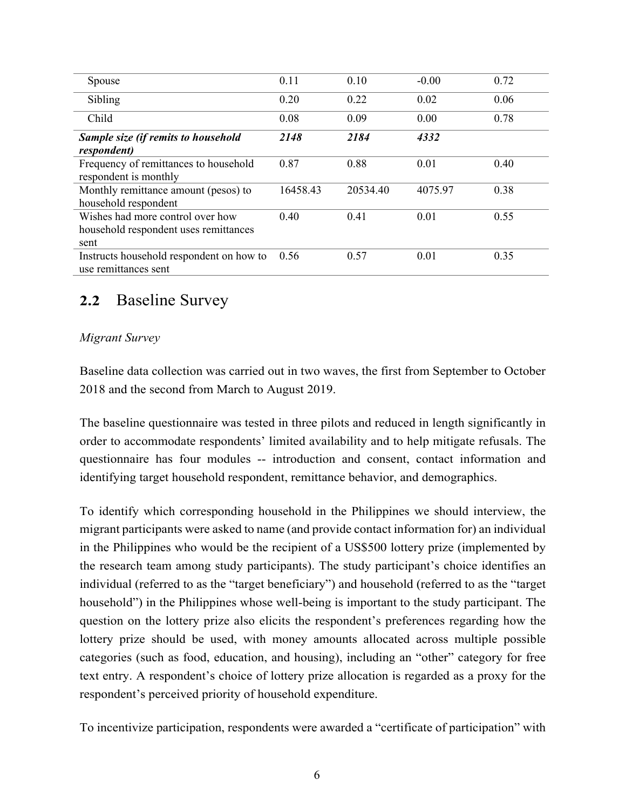| Spouse                                                                            | 0.11     | 0.10     | $-0.00$ | 0.72 |
|-----------------------------------------------------------------------------------|----------|----------|---------|------|
| Sibling                                                                           | 0.20     | 0.22     | 0.02    | 0.06 |
| Child                                                                             | 0.08     | 0.09     | 0.00    | 0.78 |
| Sample size (if remits to household<br>respondent)                                | 2148     | 2184     | 4332    |      |
| Frequency of remittances to household<br>respondent is monthly                    | 0.87     | 0.88     | 0.01    | 0.40 |
| Monthly remittance amount (pesos) to<br>household respondent                      | 16458.43 | 20534.40 | 4075.97 | 0.38 |
| Wishes had more control over how<br>household respondent uses remittances<br>sent | 0.40     | 0.41     | 0.01    | 0.55 |
| Instructs household respondent on how to<br>use remittances sent                  | 0.56     | 0.57     | 0.01    | 0.35 |

### **2.2** Baseline Survey

### *Migrant Survey*

Baseline data collection was carried out in two waves, the first from September to October 2018 and the second from March to August 2019.

The baseline questionnaire was tested in three pilots and reduced in length significantly in order to accommodate respondents' limited availability and to help mitigate refusals. The questionnaire has four modules -- introduction and consent, contact information and identifying target household respondent, remittance behavior, and demographics.

To identify which corresponding household in the Philippines we should interview, the migrant participants were asked to name (and provide contact information for) an individual in the Philippines who would be the recipient of a US\$500 lottery prize (implemented by the research team among study participants). The study participant's choice identifies an individual (referred to as the "target beneficiary") and household (referred to as the "target household") in the Philippines whose well-being is important to the study participant. The question on the lottery prize also elicits the respondent's preferences regarding how the lottery prize should be used, with money amounts allocated across multiple possible categories (such as food, education, and housing), including an "other" category for free text entry. A respondent's choice of lottery prize allocation is regarded as a proxy for the respondent's perceived priority of household expenditure.

To incentivize participation, respondents were awarded a "certificate of participation" with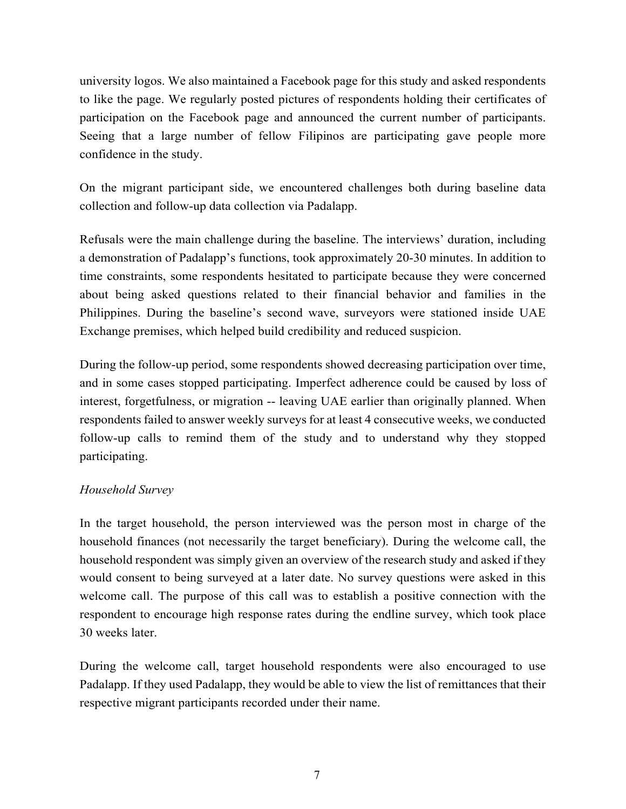university logos. We also maintained a Facebook page for this study and asked respondents to like the page. We regularly posted pictures of respondents holding their certificates of participation on the Facebook page and announced the current number of participants. Seeing that a large number of fellow Filipinos are participating gave people more confidence in the study.

On the migrant participant side, we encountered challenges both during baseline data collection and follow-up data collection via Padalapp.

Refusals were the main challenge during the baseline. The interviews' duration, including a demonstration of Padalapp's functions, took approximately 20-30 minutes. In addition to time constraints, some respondents hesitated to participate because they were concerned about being asked questions related to their financial behavior and families in the Philippines. During the baseline's second wave, surveyors were stationed inside UAE Exchange premises, which helped build credibility and reduced suspicion.

During the follow-up period, some respondents showed decreasing participation over time, and in some cases stopped participating. Imperfect adherence could be caused by loss of interest, forgetfulness, or migration -- leaving UAE earlier than originally planned. When respondents failed to answer weekly surveys for at least 4 consecutive weeks, we conducted follow-up calls to remind them of the study and to understand why they stopped participating.

### *Household Survey*

In the target household, the person interviewed was the person most in charge of the household finances (not necessarily the target beneficiary). During the welcome call, the household respondent was simply given an overview of the research study and asked if they would consent to being surveyed at a later date. No survey questions were asked in this welcome call. The purpose of this call was to establish a positive connection with the respondent to encourage high response rates during the endline survey, which took place 30 weeks later.

During the welcome call, target household respondents were also encouraged to use Padalapp. If they used Padalapp, they would be able to view the list of remittances that their respective migrant participants recorded under their name.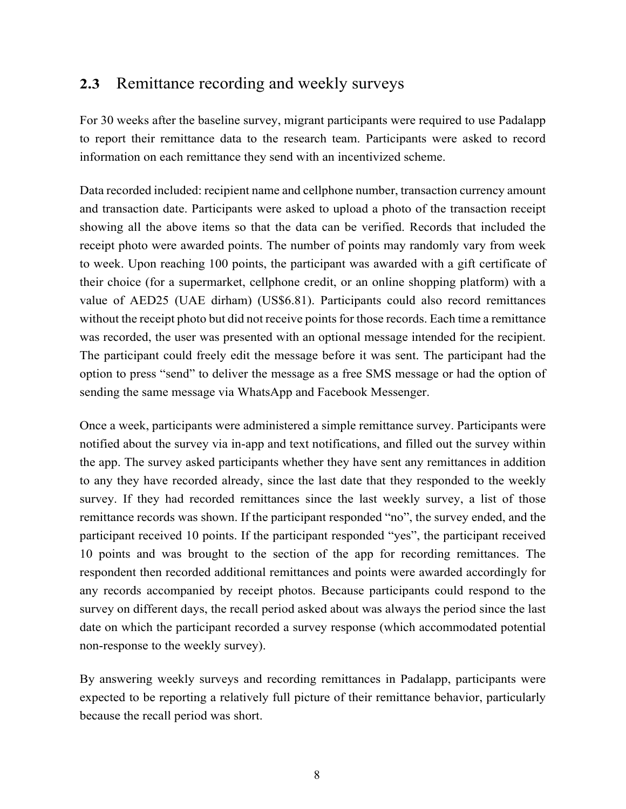### **2.3** Remittance recording and weekly surveys

For 30 weeks after the baseline survey, migrant participants were required to use Padalapp to report their remittance data to the research team. Participants were asked to record information on each remittance they send with an incentivized scheme.

Data recorded included: recipient name and cellphone number, transaction currency amount and transaction date. Participants were asked to upload a photo of the transaction receipt showing all the above items so that the data can be verified. Records that included the receipt photo were awarded points. The number of points may randomly vary from week to week. Upon reaching 100 points, the participant was awarded with a gift certificate of their choice (for a supermarket, cellphone credit, or an online shopping platform) with a value of AED25 (UAE dirham) (US\$6.81). Participants could also record remittances without the receipt photo but did not receive points for those records. Each time a remittance was recorded, the user was presented with an optional message intended for the recipient. The participant could freely edit the message before it was sent. The participant had the option to press "send" to deliver the message as a free SMS message or had the option of sending the same message via WhatsApp and Facebook Messenger.

Once a week, participants were administered a simple remittance survey. Participants were notified about the survey via in-app and text notifications, and filled out the survey within the app. The survey asked participants whether they have sent any remittances in addition to any they have recorded already, since the last date that they responded to the weekly survey. If they had recorded remittances since the last weekly survey, a list of those remittance records was shown. If the participant responded "no", the survey ended, and the participant received 10 points. If the participant responded "yes", the participant received 10 points and was brought to the section of the app for recording remittances. The respondent then recorded additional remittances and points were awarded accordingly for any records accompanied by receipt photos. Because participants could respond to the survey on different days, the recall period asked about was always the period since the last date on which the participant recorded a survey response (which accommodated potential non-response to the weekly survey).

By answering weekly surveys and recording remittances in Padalapp, participants were expected to be reporting a relatively full picture of their remittance behavior, particularly because the recall period was short.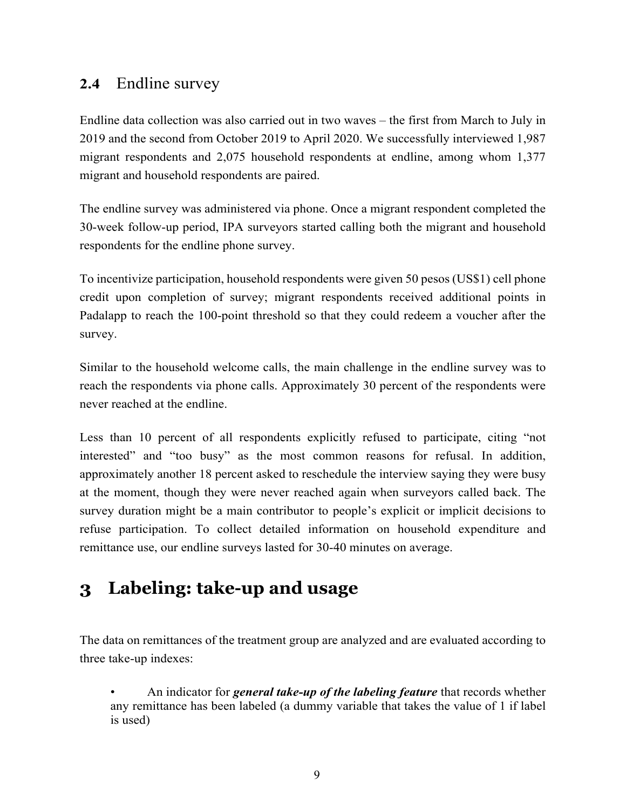## **2.4** Endline survey

Endline data collection was also carried out in two waves – the first from March to July in 2019 and the second from October 2019 to April 2020. We successfully interviewed 1,987 migrant respondents and 2,075 household respondents at endline, among whom 1,377 migrant and household respondents are paired.

The endline survey was administered via phone. Once a migrant respondent completed the 30-week follow-up period, IPA surveyors started calling both the migrant and household respondents for the endline phone survey.

To incentivize participation, household respondents were given 50 pesos (US\$1) cell phone credit upon completion of survey; migrant respondents received additional points in Padalapp to reach the 100-point threshold so that they could redeem a voucher after the survey.

Similar to the household welcome calls, the main challenge in the endline survey was to reach the respondents via phone calls. Approximately 30 percent of the respondents were never reached at the endline.

Less than 10 percent of all respondents explicitly refused to participate, citing "not interested" and "too busy" as the most common reasons for refusal. In addition, approximately another 18 percent asked to reschedule the interview saying they were busy at the moment, though they were never reached again when surveyors called back. The survey duration might be a main contributor to people's explicit or implicit decisions to refuse participation. To collect detailed information on household expenditure and remittance use, our endline surveys lasted for 30-40 minutes on average.

# **3 Labeling: take-up and usage**

The data on remittances of the treatment group are analyzed and are evaluated according to three take-up indexes:

• An indicator for *general take-up of the labeling feature* that records whether any remittance has been labeled (a dummy variable that takes the value of 1 if label is used)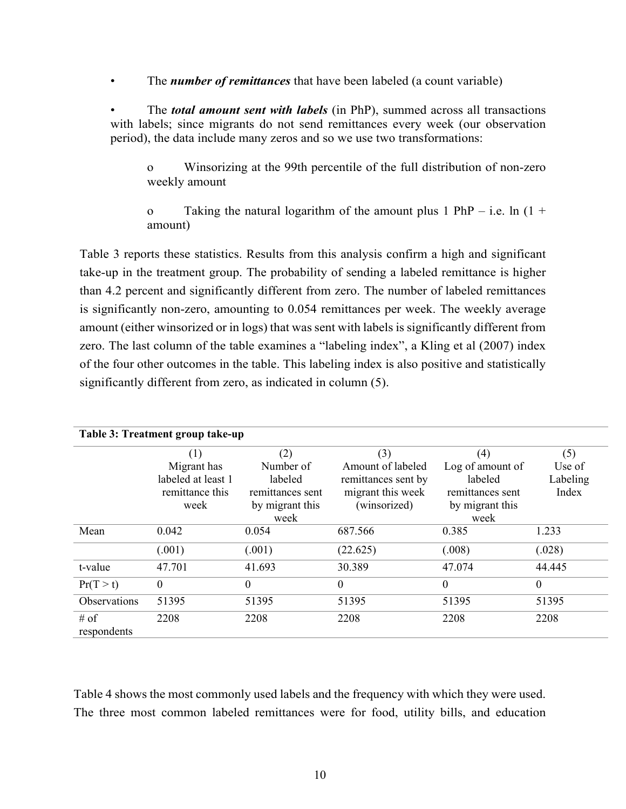• The *number of remittances* that have been labeled (a count variable)

• The *total amount sent with labels* (in PhP), summed across all transactions with labels; since migrants do not send remittances every week (our observation period), the data include many zeros and so we use two transformations:

o Winsorizing at the 99th percentile of the full distribution of non-zero weekly amount

o Taking the natural logarithm of the amount plus 1 PhP – i.e. ln  $(1 +$ amount)

Table 3 reports these statistics. Results from this analysis confirm a high and significant take-up in the treatment group. The probability of sending a labeled remittance is higher than 4.2 percent and significantly different from zero. The number of labeled remittances is significantly non-zero, amounting to 0.054 remittances per week. The weekly average amount (either winsorized or in logs) that was sent with labels is significantly different from zero. The last column of the table examines a "labeling index", a Kling et al (2007) index of the four other outcomes in the table. This labeling index is also positive and statistically significantly different from zero, as indicated in column (5).

| Table 3: Treatment group take-up |                    |                  |                     |                  |          |  |  |
|----------------------------------|--------------------|------------------|---------------------|------------------|----------|--|--|
|                                  | (1)                | (2)              | (3)                 | (4)              | (5)      |  |  |
|                                  | Migrant has        | Number of        | Amount of labeled   | Log of amount of | Use of   |  |  |
|                                  | labeled at least 1 | labeled          | remittances sent by | labeled          | Labeling |  |  |
|                                  | remittance this    | remittances sent | migrant this week   | remittances sent | Index    |  |  |
|                                  | week               | by migrant this  | (winsorized)        | by migrant this  |          |  |  |
|                                  |                    | week             |                     | week             |          |  |  |
| Mean                             | 0.042              | 0.054            | 687.566             | 0.385            | 1.233    |  |  |
|                                  | (.001)             | (.001)           | (22.625)            | (.008)           | (.028)   |  |  |
| t-value                          | 47.701             | 41.693           | 30.389              | 47.074           | 44.445   |  |  |
| Pr(T > t)                        | $\theta$           | $\theta$         | $\Omega$            | $\theta$         | $\theta$ |  |  |
| <b>Observations</b>              | 51395              | 51395            | 51395               | 51395            | 51395    |  |  |
| $#$ of                           | 2208               | 2208             | 2208                | 2208             | 2208     |  |  |
| respondents                      |                    |                  |                     |                  |          |  |  |

Table 4 shows the most commonly used labels and the frequency with which they were used. The three most common labeled remittances were for food, utility bills, and education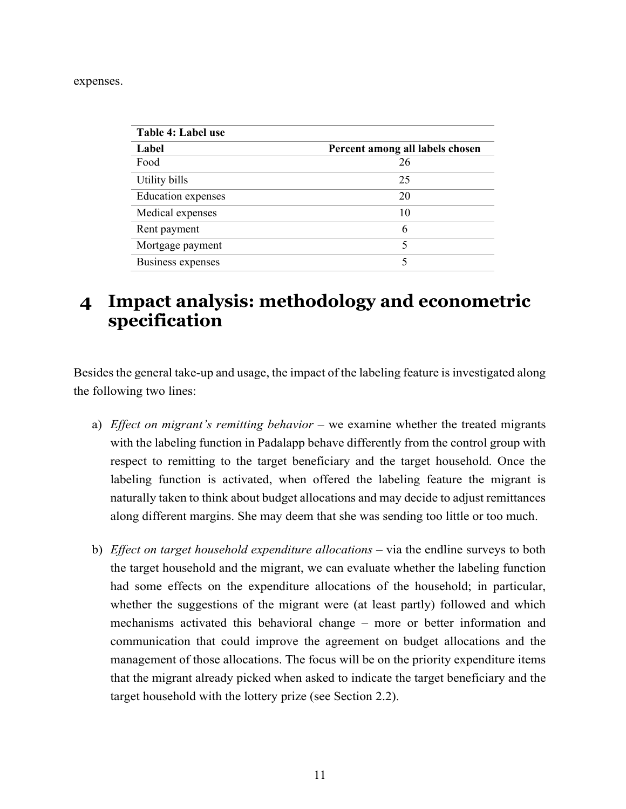expenses.

| Table 4: Label use        |                                 |
|---------------------------|---------------------------------|
| Label                     | Percent among all labels chosen |
| Food                      | 26                              |
| Utility bills             | 25                              |
| <b>Education</b> expenses | 20                              |
| Medical expenses          | 10                              |
| Rent payment              | 6                               |
| Mortgage payment          | 5                               |
| <b>Business expenses</b>  | 5                               |

## **4 Impact analysis: methodology and econometric specification**

Besides the general take-up and usage, the impact of the labeling feature is investigated along the following two lines:

- a) *Effect on migrant's remitting behavior* we examine whether the treated migrants with the labeling function in Padalapp behave differently from the control group with respect to remitting to the target beneficiary and the target household. Once the labeling function is activated, when offered the labeling feature the migrant is naturally taken to think about budget allocations and may decide to adjust remittances along different margins. She may deem that she was sending too little or too much.
- b) *Effect on target household expenditure allocations* via the endline surveys to both the target household and the migrant, we can evaluate whether the labeling function had some effects on the expenditure allocations of the household; in particular, whether the suggestions of the migrant were (at least partly) followed and which mechanisms activated this behavioral change – more or better information and communication that could improve the agreement on budget allocations and the management of those allocations. The focus will be on the priority expenditure items that the migrant already picked when asked to indicate the target beneficiary and the target household with the lottery prize (see Section 2.2).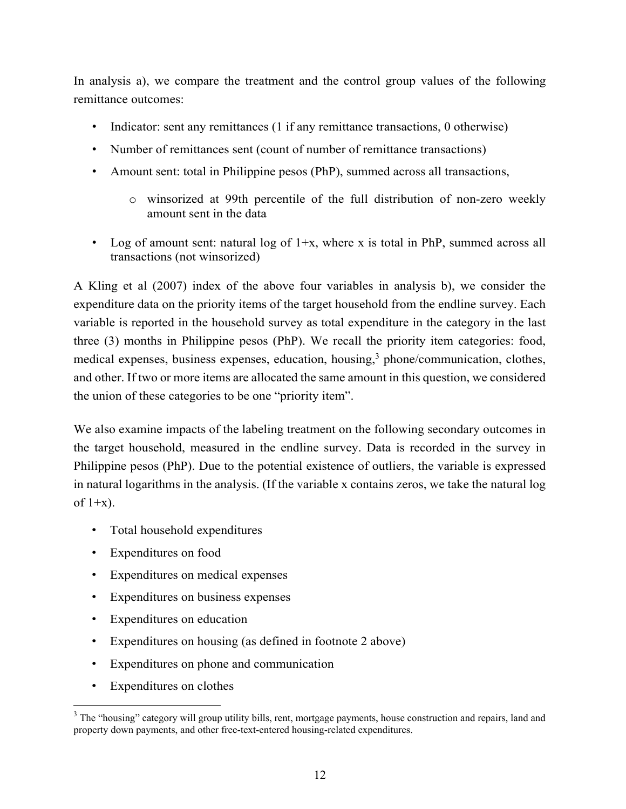In analysis a), we compare the treatment and the control group values of the following remittance outcomes:

- Indicator: sent any remittances (1 if any remittance transactions, 0 otherwise)
- Number of remittances sent (count of number of remittance transactions)
- Amount sent: total in Philippine pesos (PhP), summed across all transactions,
	- o winsorized at 99th percentile of the full distribution of non-zero weekly amount sent in the data
- Log of amount sent: natural log of  $1+x$ , where x is total in PhP, summed across all transactions (not winsorized)

A Kling et al (2007) index of the above four variables in analysis b), we consider the expenditure data on the priority items of the target household from the endline survey. Each variable is reported in the household survey as total expenditure in the category in the last three (3) months in Philippine pesos (PhP). We recall the priority item categories: food, medical expenses, business expenses, education, housing,<sup>3</sup> phone/communication, clothes, and other. If two or more items are allocated the same amount in this question, we considered the union of these categories to be one "priority item".

We also examine impacts of the labeling treatment on the following secondary outcomes in the target household, measured in the endline survey. Data is recorded in the survey in Philippine pesos (PhP). Due to the potential existence of outliers, the variable is expressed in natural logarithms in the analysis. (If the variable x contains zeros, we take the natural log of  $1+x$ ).

- Total household expenditures
- Expenditures on food
- Expenditures on medical expenses
- Expenditures on business expenses
- Expenditures on education
- Expenditures on housing (as defined in footnote 2 above)
- Expenditures on phone and communication
- Expenditures on clothes

l

 $3$  The "housing" category will group utility bills, rent, mortgage payments, house construction and repairs, land and property down payments, and other free-text-entered housing-related expenditures.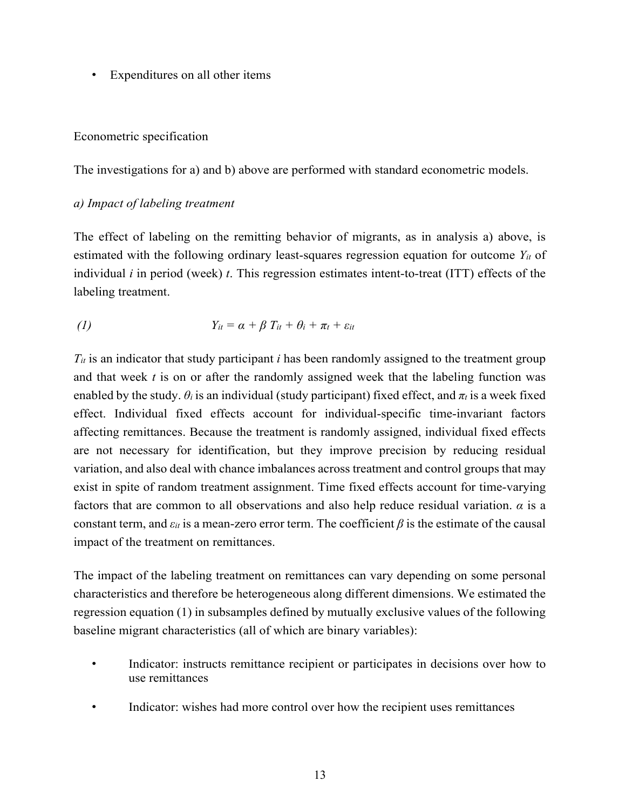• Expenditures on all other items

#### Econometric specification

The investigations for a) and b) above are performed with standard econometric models.

### *a) Impact of labeling treatment*

The effect of labeling on the remitting behavior of migrants, as in analysis a) above, is estimated with the following ordinary least-squares regression equation for outcome  $Y_{it}$  of individual *i* in period (week) *t*. This regression estimates intent-to-treat (ITT) effects of the labeling treatment.

(1) 
$$
Y_{it} = \alpha + \beta T_{it} + \theta_i + \pi_t + \varepsilon_{it}
$$

*Tit* is an indicator that study participant *i* has been randomly assigned to the treatment group and that week *t* is on or after the randomly assigned week that the labeling function was enabled by the study.  $\theta_i$  is an individual (study participant) fixed effect, and  $\pi_t$  is a week fixed effect. Individual fixed effects account for individual-specific time-invariant factors affecting remittances. Because the treatment is randomly assigned, individual fixed effects are not necessary for identification, but they improve precision by reducing residual variation, and also deal with chance imbalances across treatment and control groups that may exist in spite of random treatment assignment. Time fixed effects account for time-varying factors that are common to all observations and also help reduce residual variation. *α* is a constant term, and  $\varepsilon_{it}$  is a mean-zero error term. The coefficient  $\beta$  is the estimate of the causal impact of the treatment on remittances.

The impact of the labeling treatment on remittances can vary depending on some personal characteristics and therefore be heterogeneous along different dimensions. We estimated the regression equation (1) in subsamples defined by mutually exclusive values of the following baseline migrant characteristics (all of which are binary variables):

- Indicator: instructs remittance recipient or participates in decisions over how to use remittances
- Indicator: wishes had more control over how the recipient uses remittances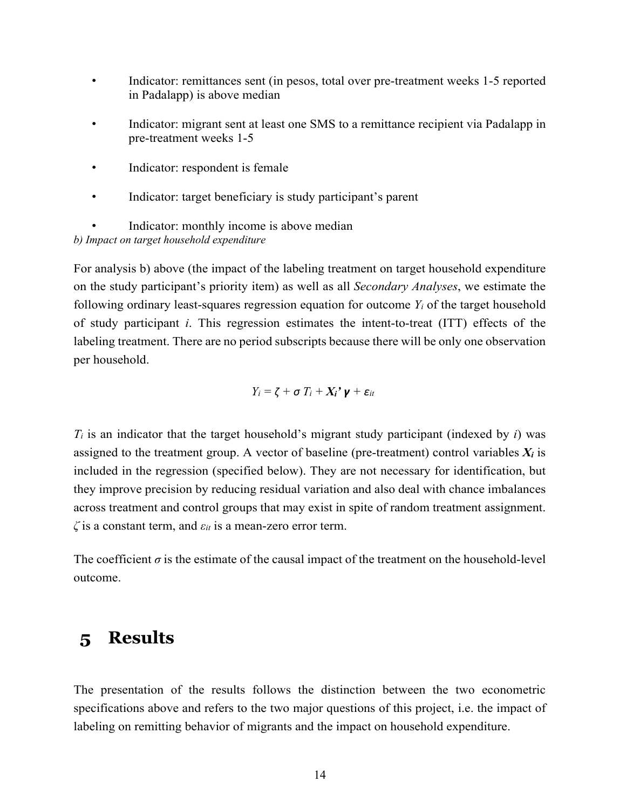- Indicator: remittances sent (in pesos, total over pre-treatment weeks 1-5 reported in Padalapp) is above median
- Indicator: migrant sent at least one SMS to a remittance recipient via Padalapp in pre-treatment weeks 1-5
- Indicator: respondent is female
- Indicator: target beneficiary is study participant's parent

Indicator: monthly income is above median

*b) Impact on target household expenditure* 

For analysis b) above (the impact of the labeling treatment on target household expenditure on the study participant's priority item) as well as all *Secondary Analyses*, we estimate the following ordinary least-squares regression equation for outcome *Yi* of the target household of study participant *i*. This regression estimates the intent-to-treat (ITT) effects of the labeling treatment. There are no period subscripts because there will be only one observation per household.

$$
Y_i = \zeta + \sigma T_i + X_i' \mathbf{v} + \varepsilon_{it}
$$

 $T_i$  is an indicator that the target household's migrant study participant (indexed by *i*) was assigned to the treatment group. A vector of baseline (pre-treatment) control variables  $X_i$  is included in the regression (specified below). They are not necessary for identification, but they improve precision by reducing residual variation and also deal with chance imbalances across treatment and control groups that may exist in spite of random treatment assignment. *ζ* is a constant term, and *εit* is a mean-zero error term.

The coefficient  $\sigma$  is the estimate of the causal impact of the treatment on the household-level outcome.

## **5 Results**

The presentation of the results follows the distinction between the two econometric specifications above and refers to the two major questions of this project, i.e. the impact of labeling on remitting behavior of migrants and the impact on household expenditure.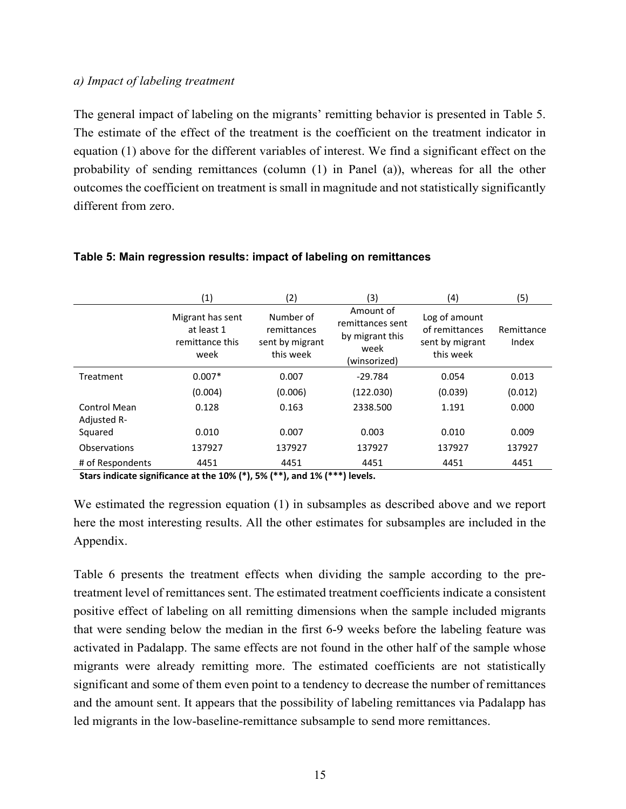#### *a) Impact of labeling treatment*

The general impact of labeling on the migrants' remitting behavior is presented in Table 5. The estimate of the effect of the treatment is the coefficient on the treatment indicator in equation (1) above for the different variables of interest. We find a significant effect on the probability of sending remittances (column (1) in Panel (a)), whereas for all the other outcomes the coefficient on treatment is small in magnitude and not statistically significantly different from zero.

|                  | $\scriptstyle{(1)}$                                       | (2)                                                      | (3)                                                                      | (4)                                                             | (5)                 |
|------------------|-----------------------------------------------------------|----------------------------------------------------------|--------------------------------------------------------------------------|-----------------------------------------------------------------|---------------------|
|                  | Migrant has sent<br>at least 1<br>remittance this<br>week | Number of<br>remittances<br>sent by migrant<br>this week | Amount of<br>remittances sent<br>by migrant this<br>week<br>(winsorized) | Log of amount<br>of remittances<br>sent by migrant<br>this week | Remittance<br>Index |
| Treatment        | $0.007*$                                                  | 0.007                                                    | $-29.784$                                                                | 0.054                                                           | 0.013               |
|                  | (0.004)                                                   | (0.006)                                                  | (122.030)                                                                | (0.039)                                                         | (0.012)             |
| Control Mean     | 0.128                                                     | 0.163                                                    | 2338.500                                                                 | 1.191                                                           | 0.000               |
| Adjusted R-      |                                                           |                                                          |                                                                          |                                                                 |                     |
| Squared          | 0.010                                                     | 0.007                                                    | 0.003                                                                    | 0.010                                                           | 0.009               |
| Observations     | 137927                                                    | 137927                                                   | 137927                                                                   | 137927                                                          | 137927              |
| # of Respondents | 4451                                                      | 4451                                                     | 4451                                                                     | 4451                                                            | 4451                |
|                  |                                                           |                                                          |                                                                          |                                                                 |                     |

#### **Table 5: Main regression results: impact of labeling on remittances**

**Stars indicate significance at the 10% (\*), 5% (\*\*), and 1% (\*\*\*) levels.**

We estimated the regression equation (1) in subsamples as described above and we report here the most interesting results. All the other estimates for subsamples are included in the Appendix.

Table 6 presents the treatment effects when dividing the sample according to the pretreatment level of remittances sent. The estimated treatment coefficients indicate a consistent positive effect of labeling on all remitting dimensions when the sample included migrants that were sending below the median in the first 6-9 weeks before the labeling feature was activated in Padalapp. The same effects are not found in the other half of the sample whose migrants were already remitting more. The estimated coefficients are not statistically significant and some of them even point to a tendency to decrease the number of remittances and the amount sent. It appears that the possibility of labeling remittances via Padalapp has led migrants in the low-baseline-remittance subsample to send more remittances.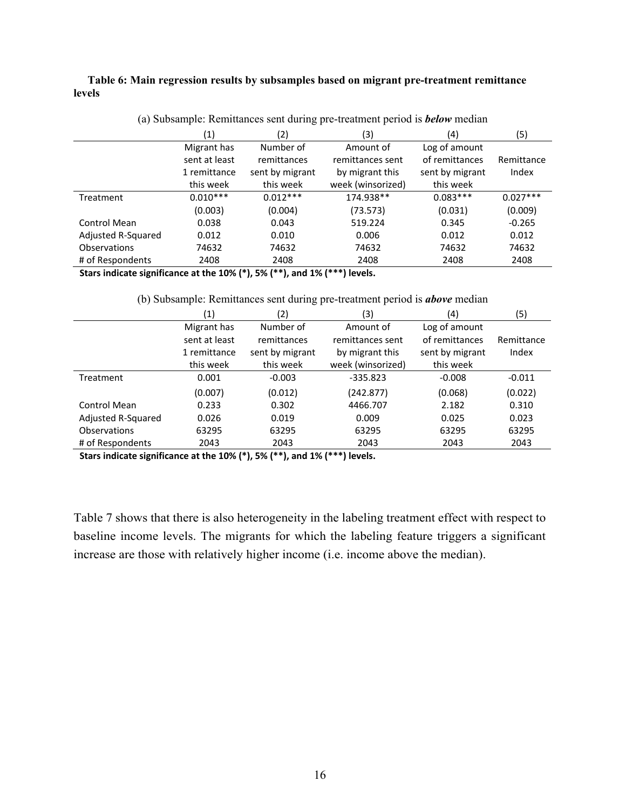**Table 6: Main regression results by subsamples based on migrant pre-treatment remittance levels** 

|                     | (1)           | (2)             | (3)               | (4)             | (5)        |
|---------------------|---------------|-----------------|-------------------|-----------------|------------|
|                     | Migrant has   | Number of       | Amount of         | Log of amount   |            |
|                     | sent at least | remittances     | remittances sent  | of remittances  | Remittance |
|                     | 1 remittance  | sent by migrant | by migrant this   | sent by migrant | Index      |
|                     | this week     | this week       | week (winsorized) | this week       |            |
| Treatment           | $0.010***$    | $0.012***$      | 174.938**         | $0.083***$      | $0.027***$ |
|                     | (0.003)       | (0.004)         | (73.573)          | (0.031)         | (0.009)    |
| Control Mean        | 0.038         | 0.043           | 519.224           | 0.345           | $-0.265$   |
| Adjusted R-Squared  | 0.012         | 0.010           | 0.006             | 0.012           | 0.012      |
| <b>Observations</b> | 74632         | 74632           | 74632             | 74632           | 74632      |
| # of Respondents    | 2408          | 2408            | 2408              | 2408            | 2408       |

(a) Subsample: Remittances sent during pre-treatment period is *below* median

**Stars indicate significance at the 10% (\*), 5% (\*\*), and 1% (\*\*\*) levels.**

(b) Subsample: Remittances sent during pre-treatment period is *above* median

|                    | $\left( 1\right)$ | (2)             | (3)               | (4)             | (5)        |
|--------------------|-------------------|-----------------|-------------------|-----------------|------------|
|                    | Migrant has       | Number of       | Amount of         | Log of amount   |            |
|                    | sent at least     | remittances     | remittances sent  | of remittances  | Remittance |
|                    | 1 remittance      | sent by migrant | by migrant this   | sent by migrant | Index      |
|                    | this week         | this week       | week (winsorized) | this week       |            |
| Treatment          | 0.001             | $-0.003$        | $-335.823$        | $-0.008$        | $-0.011$   |
|                    | (0.007)           | (0.012)         | (242.877)         | (0.068)         | (0.022)    |
| Control Mean       | 0.233             | 0.302           | 4466.707          | 2.182           | 0.310      |
| Adjusted R-Squared | 0.026             | 0.019           | 0.009             | 0.025           | 0.023      |
| Observations       | 63295             | 63295           | 63295             | 63295           | 63295      |
| # of Respondents   | 2043              | 2043            | 2043              | 2043            | 2043       |

**Stars indicate significance at the 10% (\*), 5% (\*\*), and 1% (\*\*\*) levels.**

Table 7 shows that there is also heterogeneity in the labeling treatment effect with respect to baseline income levels. The migrants for which the labeling feature triggers a significant increase are those with relatively higher income (i.e. income above the median).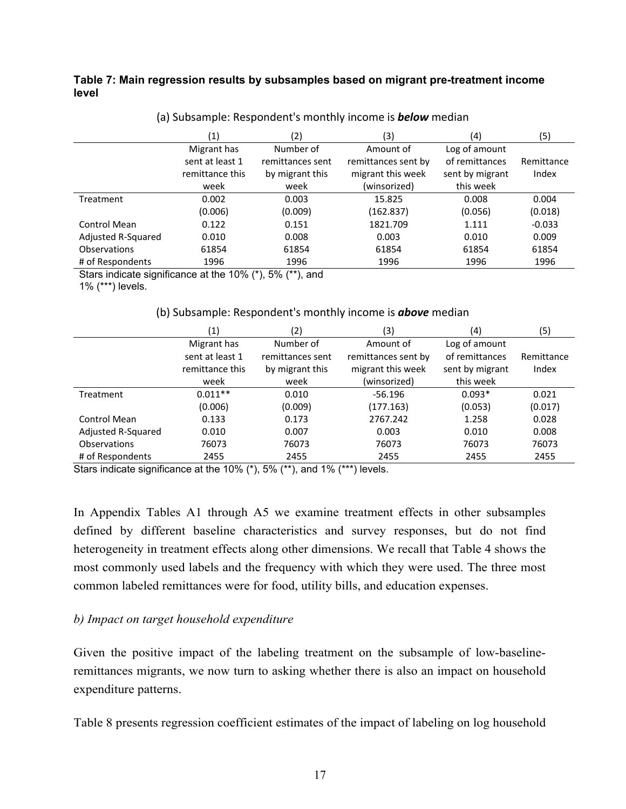### **Table 7: Main regression results by subsamples based on migrant pre-treatment income level**

|                    | (1)             | (2)              | (3)                 | (4)             | (5)        |
|--------------------|-----------------|------------------|---------------------|-----------------|------------|
|                    | Migrant has     | Number of        | Amount of           | Log of amount   |            |
|                    | sent at least 1 | remittances sent | remittances sent by | of remittances  | Remittance |
|                    | remittance this | by migrant this  | migrant this week   | sent by migrant | Index      |
|                    | week            | week             | (winsorized)        | this week       |            |
| Treatment          | 0.002           | 0.003            | 15.825              | 0.008           | 0.004      |
|                    | (0.006)         | (0.009)          | (162.837)           | (0.056)         | (0.018)    |
| Control Mean       | 0.122           | 0.151            | 1821.709            | 1.111           | $-0.033$   |
| Adjusted R-Squared | 0.010           | 0.008            | 0.003               | 0.010           | 0.009      |
| Observations       | 61854           | 61854            | 61854               | 61854           | 61854      |
| # of Respondents   | 1996            | 1996             | 1996                | 1996            | 1996       |

#### (a) Subsample: Respondent's monthly income is *below* median

Stars indicate significance at the 10% (\*), 5% (\*\*), and

1% (\*\*\*) levels.

#### (b) Subsample: Respondent's monthly income is *above* median

|                     | $\left( 1\right)$ | (2)              | (3)                 | (4)             | (5)        |
|---------------------|-------------------|------------------|---------------------|-----------------|------------|
|                     | Migrant has       | Number of        | Amount of           | Log of amount   |            |
|                     | sent at least 1   | remittances sent | remittances sent by | of remittances  | Remittance |
|                     | remittance this   | by migrant this  | migrant this week   | sent by migrant | Index      |
|                     | week              | week             | (winsorized)        | this week       |            |
| Treatment           | $0.011**$         | 0.010            | $-56.196$           | $0.093*$        | 0.021      |
|                     | (0.006)           | (0.009)          | (177.163)           | (0.053)         | (0.017)    |
| Control Mean        | 0.133             | 0.173            | 2767.242            | 1.258           | 0.028      |
| Adjusted R-Squared  | 0.010             | 0.007            | 0.003               | 0.010           | 0.008      |
| <b>Observations</b> | 76073             | 76073            | 76073               | 76073           | 76073      |
| # of Respondents    | 2455              | 2455             | 2455                | 2455            | 2455       |

Stars indicate significance at the 10% (\*), 5% (\*\*), and 1% (\*\*\*) levels.

In Appendix Tables A1 through A5 we examine treatment effects in other subsamples defined by different baseline characteristics and survey responses, but do not find heterogeneity in treatment effects along other dimensions. We recall that Table 4 shows the most commonly used labels and the frequency with which they were used. The three most common labeled remittances were for food, utility bills, and education expenses.

### *b) Impact on target household expenditure*

Given the positive impact of the labeling treatment on the subsample of low-baselineremittances migrants, we now turn to asking whether there is also an impact on household expenditure patterns.

Table 8 presents regression coefficient estimates of the impact of labeling on log household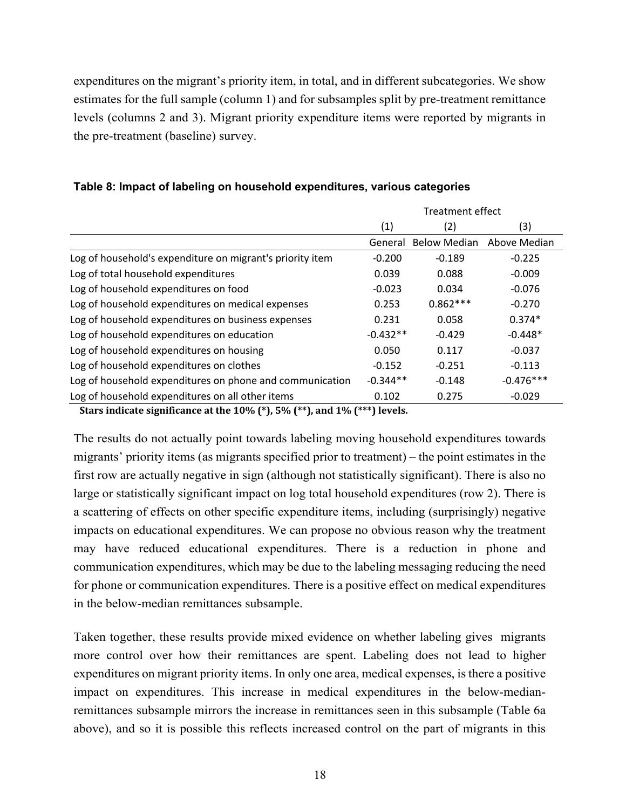expenditures on the migrant's priority item, in total, and in different subcategories. We show estimates for the full sample (column 1) and for subsamples split by pre-treatment remittance levels (columns 2 and 3). Migrant priority expenditure items were reported by migrants in the pre-treatment (baseline) survey.

|                                                           | <b>Treatment effect</b> |                     |              |  |
|-----------------------------------------------------------|-------------------------|---------------------|--------------|--|
|                                                           | (1)                     | (2)                 | (3)          |  |
|                                                           | General                 | <b>Below Median</b> | Above Median |  |
| Log of household's expenditure on migrant's priority item | $-0.200$                | $-0.189$            | $-0.225$     |  |
| Log of total household expenditures                       | 0.039                   | 0.088               | $-0.009$     |  |
| Log of household expenditures on food                     | $-0.023$                | 0.034               | $-0.076$     |  |
| Log of household expenditures on medical expenses         | 0.253                   | $0.862***$          | $-0.270$     |  |
| Log of household expenditures on business expenses        | 0.231                   | 0.058               | $0.374*$     |  |
| Log of household expenditures on education                | $-0.432**$              | $-0.429$            | $-0.448*$    |  |
| Log of household expenditures on housing                  | 0.050                   | 0.117               | $-0.037$     |  |
| Log of household expenditures on clothes                  | $-0.152$                | $-0.251$            | $-0.113$     |  |
| Log of household expenditures on phone and communication  | $-0.344**$              | $-0.148$            | $-0.476***$  |  |
| Log of household expenditures on all other items          | 0.102                   | 0.275               | $-0.029$     |  |

### **Table 8: Impact of labeling on household expenditures, various categories**

**Stars indicate significance at the 10% (\*), 5% (\*\*), and 1% (\*\*\*) levels.**

The results do not actually point towards labeling moving household expenditures towards migrants' priority items (as migrants specified prior to treatment) – the point estimates in the first row are actually negative in sign (although not statistically significant). There is also no large or statistically significant impact on log total household expenditures (row 2). There is a scattering of effects on other specific expenditure items, including (surprisingly) negative impacts on educational expenditures. We can propose no obvious reason why the treatment may have reduced educational expenditures. There is a reduction in phone and communication expenditures, which may be due to the labeling messaging reducing the need for phone or communication expenditures. There is a positive effect on medical expenditures in the below-median remittances subsample.

Taken together, these results provide mixed evidence on whether labeling gives migrants more control over how their remittances are spent. Labeling does not lead to higher expenditures on migrant priority items. In only one area, medical expenses, is there a positive impact on expenditures. This increase in medical expenditures in the below-medianremittances subsample mirrors the increase in remittances seen in this subsample (Table 6a above), and so it is possible this reflects increased control on the part of migrants in this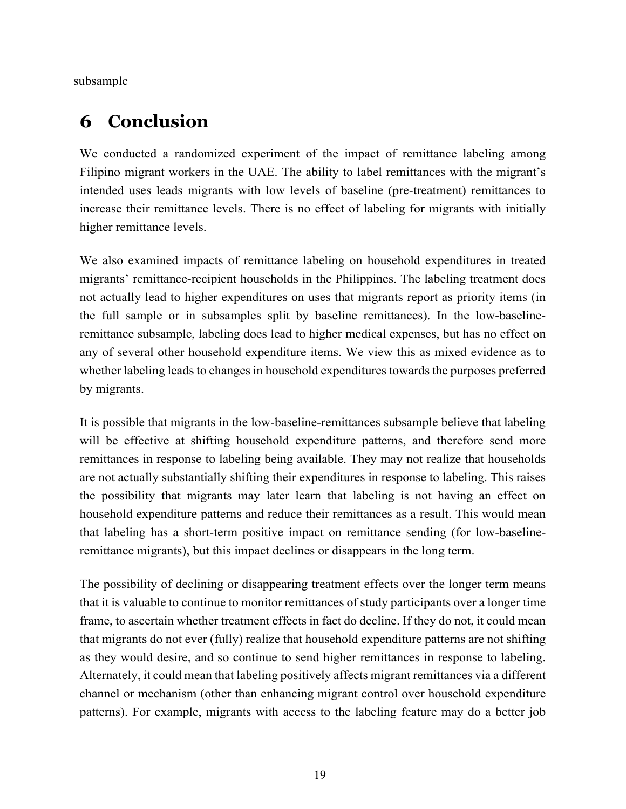subsample

## **6 Conclusion**

We conducted a randomized experiment of the impact of remittance labeling among Filipino migrant workers in the UAE. The ability to label remittances with the migrant's intended uses leads migrants with low levels of baseline (pre-treatment) remittances to increase their remittance levels. There is no effect of labeling for migrants with initially higher remittance levels.

We also examined impacts of remittance labeling on household expenditures in treated migrants' remittance-recipient households in the Philippines. The labeling treatment does not actually lead to higher expenditures on uses that migrants report as priority items (in the full sample or in subsamples split by baseline remittances). In the low-baselineremittance subsample, labeling does lead to higher medical expenses, but has no effect on any of several other household expenditure items. We view this as mixed evidence as to whether labeling leads to changes in household expenditures towards the purposes preferred by migrants.

It is possible that migrants in the low-baseline-remittances subsample believe that labeling will be effective at shifting household expenditure patterns, and therefore send more remittances in response to labeling being available. They may not realize that households are not actually substantially shifting their expenditures in response to labeling. This raises the possibility that migrants may later learn that labeling is not having an effect on household expenditure patterns and reduce their remittances as a result. This would mean that labeling has a short-term positive impact on remittance sending (for low-baselineremittance migrants), but this impact declines or disappears in the long term.

The possibility of declining or disappearing treatment effects over the longer term means that it is valuable to continue to monitor remittances of study participants over a longer time frame, to ascertain whether treatment effects in fact do decline. If they do not, it could mean that migrants do not ever (fully) realize that household expenditure patterns are not shifting as they would desire, and so continue to send higher remittances in response to labeling. Alternately, it could mean that labeling positively affects migrant remittances via a different channel or mechanism (other than enhancing migrant control over household expenditure patterns). For example, migrants with access to the labeling feature may do a better job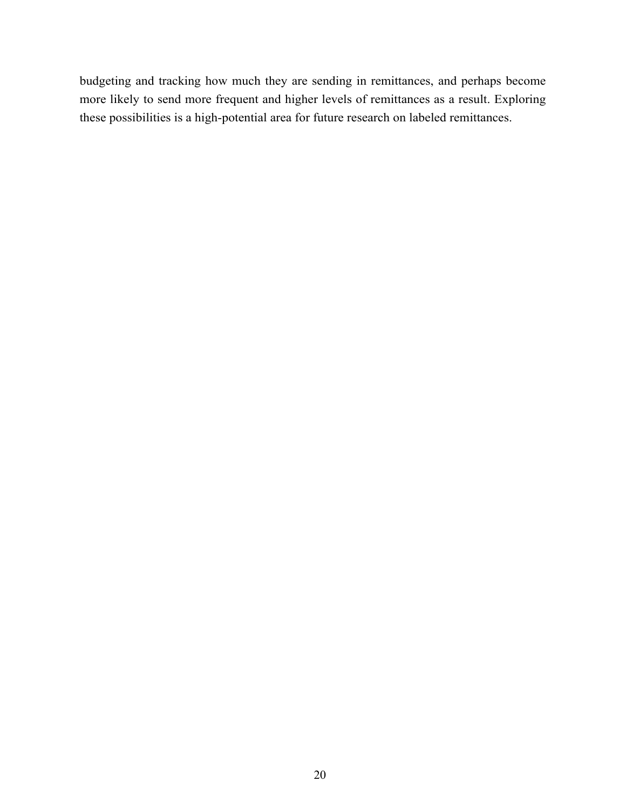budgeting and tracking how much they are sending in remittances, and perhaps become more likely to send more frequent and higher levels of remittances as a result. Exploring these possibilities is a high-potential area for future research on labeled remittances.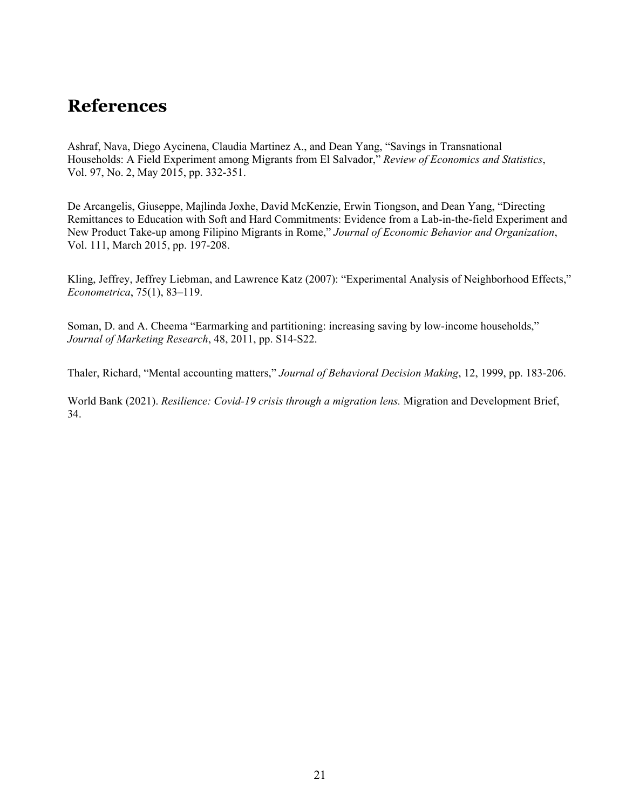## **References**

Ashraf, Nava, Diego Aycinena, Claudia Martinez A., and Dean Yang, "Savings in Transnational Households: A Field Experiment among Migrants from El Salvador," *Review of Economics and Statistics*, Vol. 97, No. 2, May 2015, pp. 332-351.

De Arcangelis, Giuseppe, Majlinda Joxhe, David McKenzie, Erwin Tiongson, and Dean Yang, "Directing Remittances to Education with Soft and Hard Commitments: Evidence from a Lab-in-the-field Experiment and New Product Take-up among Filipino Migrants in Rome," *Journal of Economic Behavior and Organization*, Vol. 111, March 2015, pp. 197-208.

Kling, Jeffrey, Jeffrey Liebman, and Lawrence Katz (2007): "Experimental Analysis of Neighborhood Effects," *Econometrica*, 75(1), 83–119.

Soman, D. and A. Cheema "Earmarking and partitioning: increasing saving by low-income households," *Journal of Marketing Research*, 48, 2011, pp. S14-S22.

Thaler, Richard, "Mental accounting matters," *Journal of Behavioral Decision Making*, 12, 1999, pp. 183-206.

World Bank (2021). *Resilience: Covid-19 crisis through a migration lens.* Migration and Development Brief, 34.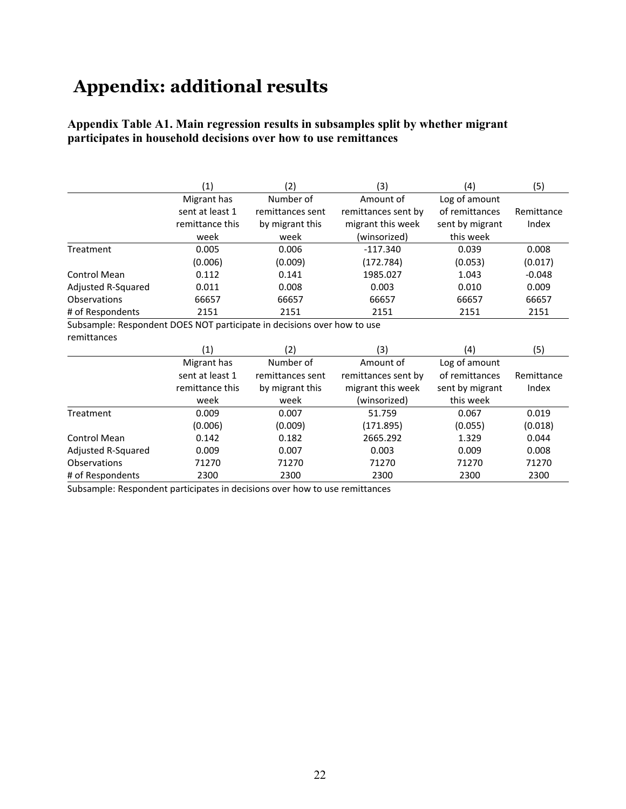# **Appendix: additional results**

### **Appendix Table A1. Main regression results in subsamples split by whether migrant participates in household decisions over how to use remittances**

|                                                                         | (1)             | (2)              | (3)                 | (4)             | (5)        |
|-------------------------------------------------------------------------|-----------------|------------------|---------------------|-----------------|------------|
|                                                                         | Migrant has     | Number of        | Amount of           | Log of amount   |            |
|                                                                         | sent at least 1 | remittances sent | remittances sent by | of remittances  | Remittance |
|                                                                         | remittance this | by migrant this  | migrant this week   | sent by migrant | Index      |
|                                                                         | week            | week             | (winsorized)        | this week       |            |
| Treatment                                                               | 0.005           | 0.006            | $-117.340$          | 0.039           | 0.008      |
|                                                                         | (0.006)         | (0.009)          | (172.784)           | (0.053)         | (0.017)    |
| <b>Control Mean</b>                                                     | 0.112           | 0.141            | 1985.027            | 1.043           | $-0.048$   |
| Adjusted R-Squared                                                      | 0.011           | 0.008            | 0.003               | 0.010           | 0.009      |
| Observations                                                            | 66657           | 66657            | 66657               | 66657           | 66657      |
| # of Respondents                                                        | 2151            | 2151             | 2151                | 2151            | 2151       |
| Subsample: Respondent DOES NOT participate in decisions over how to use |                 |                  |                     |                 |            |
| remittances                                                             |                 |                  |                     |                 |            |
|                                                                         | (1)             | (2)              | (3)                 | (4)             | (5)        |
|                                                                         | Migrant has     | Number of        | Amount of           | Log of amount   |            |
|                                                                         | sent at least 1 | remittances sent | remittances sent by | of remittances  | Remittance |
|                                                                         | remittance this | by migrant this  | migrant this week   | sent by migrant | Index      |
|                                                                         | week            | week             | (winsorized)        | this week       |            |
| Treatment                                                               | 0.009           | 0.007            | 51.759              | 0.067           | 0.019      |
|                                                                         | (0.006)         | (0.009)          | (171.895)           | (0.055)         | (0.018)    |
| <b>Control Mean</b>                                                     | 0.142           | 0.182            | 2665.292            | 1.329           | 0.044      |
| Adjusted R-Squared                                                      | 0.009           | 0.007            | 0.003               | 0.009           | 0.008      |
| Observations                                                            | 71270           | 71270            | 71270               | 71270           | 71270      |
| # of Respondents                                                        | 2300            | 2300             | 2300                | 2300            | 2300       |

Subsample: Respondent participates in decisions over how to use remittances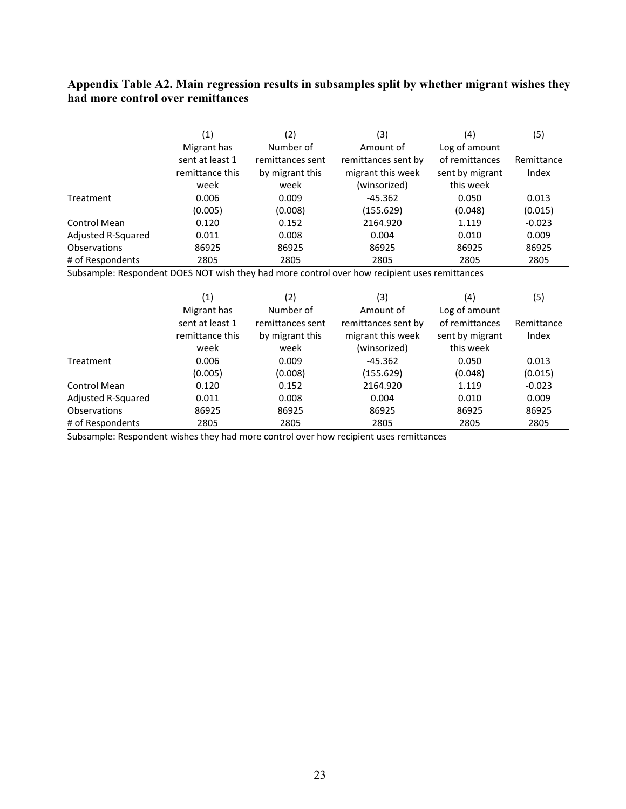### **Appendix Table A2. Main regression results in subsamples split by whether migrant wishes they had more control over remittances**

|                     | $\left( 1\right)$ | '2)              | (3)                 | (4)             | (5)        |
|---------------------|-------------------|------------------|---------------------|-----------------|------------|
|                     | Migrant has       | Number of        | Amount of           | Log of amount   |            |
|                     | sent at least 1   | remittances sent | remittances sent by | of remittances  | Remittance |
|                     | remittance this   | by migrant this  | migrant this week   | sent by migrant | Index      |
|                     | week              | week             | (winsorized)        | this week       |            |
| Treatment           | 0.006             | 0.009            | $-45.362$           | 0.050           | 0.013      |
|                     | (0.005)           | (0.008)          | (155.629)           | (0.048)         | (0.015)    |
| Control Mean        | 0.120             | 0.152            | 2164.920            | 1.119           | $-0.023$   |
| Adjusted R-Squared  | 0.011             | 0.008            | 0.004               | 0.010           | 0.009      |
| <b>Observations</b> | 86925             | 86925            | 86925               | 86925           | 86925      |
| # of Respondents    | 2805              | 2805             | 2805                | 2805            | 2805       |

Subsample: Respondent DOES NOT wish they had more control over how recipient uses remittances

|                     | (1)             | (2)              | (3)                 | (4)             | (5)        |
|---------------------|-----------------|------------------|---------------------|-----------------|------------|
|                     | Migrant has     | Number of        | Amount of           | Log of amount   |            |
|                     | sent at least 1 | remittances sent | remittances sent by | of remittances  | Remittance |
|                     | remittance this | by migrant this  | migrant this week   | sent by migrant | Index      |
|                     | week            | week             | (winsorized)        | this week       |            |
| Treatment           | 0.006           | 0.009            | $-45.362$           | 0.050           | 0.013      |
|                     | (0.005)         | (0.008)          | (155.629)           | (0.048)         | (0.015)    |
| Control Mean        | 0.120           | 0.152            | 2164.920            | 1.119           | $-0.023$   |
| Adjusted R-Squared  | 0.011           | 0.008            | 0.004               | 0.010           | 0.009      |
| <b>Observations</b> | 86925           | 86925            | 86925               | 86925           | 86925      |
| # of Respondents    | 2805            | 2805             | 2805                | 2805            | 2805       |

Subsample: Respondent wishes they had more control over how recipient uses remittances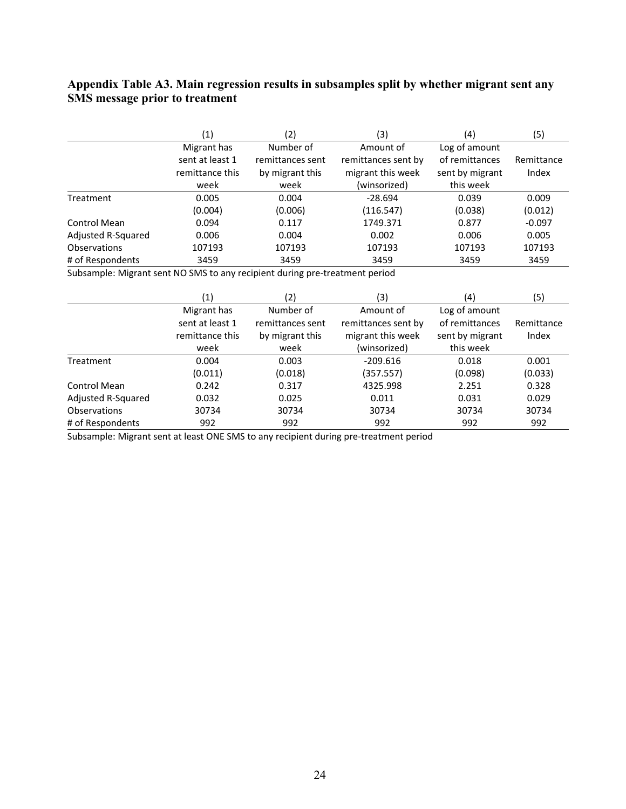### **Appendix Table A3. Main regression results in subsamples split by whether migrant sent any SMS message prior to treatment**

|                     | (1)             | (2)              | (3)                 | (4)             | (5)        |
|---------------------|-----------------|------------------|---------------------|-----------------|------------|
|                     | Migrant has     | Number of        | Amount of           | Log of amount   |            |
|                     | sent at least 1 | remittances sent | remittances sent by | of remittances  | Remittance |
|                     | remittance this | by migrant this  | migrant this week   | sent by migrant | Index      |
|                     | week            | week             | (winsorized)        | this week       |            |
| Treatment           | 0.005           | 0.004            | $-28.694$           | 0.039           | 0.009      |
|                     | (0.004)         | (0.006)          | (116.547)           | (0.038)         | (0.012)    |
| Control Mean        | 0.094           | 0.117            | 1749.371            | 0.877           | $-0.097$   |
| Adjusted R-Squared  | 0.006           | 0.004            | 0.002               | 0.006           | 0.005      |
| <b>Observations</b> | 107193          | 107193           | 107193              | 107193          | 107193     |
| # of Respondents    | 3459            | 3459             | 3459                | 3459            | 3459       |

Subsample: Migrant sent NO SMS to any recipient during pre‐treatment period

|                     | (1)                                | (2)                                 | (3)                                      | (4)                               | (5)                 |
|---------------------|------------------------------------|-------------------------------------|------------------------------------------|-----------------------------------|---------------------|
|                     | Migrant has                        | Number of                           | Amount of                                | Log of amount                     |                     |
|                     | sent at least 1<br>remittance this | remittances sent<br>by migrant this | remittances sent by<br>migrant this week | of remittances<br>sent by migrant | Remittance<br>Index |
|                     | week                               | week                                | (winsorized)                             | this week                         |                     |
| Treatment           | 0.004                              | 0.003                               | $-209.616$                               | 0.018                             | 0.001               |
|                     | (0.011)                            | (0.018)                             | (357.557)                                | (0.098)                           | (0.033)             |
| Control Mean        | 0.242                              | 0.317                               | 4325.998                                 | 2.251                             | 0.328               |
| Adjusted R-Squared  | 0.032                              | 0.025                               | 0.011                                    | 0.031                             | 0.029               |
| <b>Observations</b> | 30734                              | 30734                               | 30734                                    | 30734                             | 30734               |
| # of Respondents    | 992                                | 992                                 | 992                                      | 992                               | 992                 |

Subsample: Migrant sent at least ONE SMS to any recipient during pre‐treatment period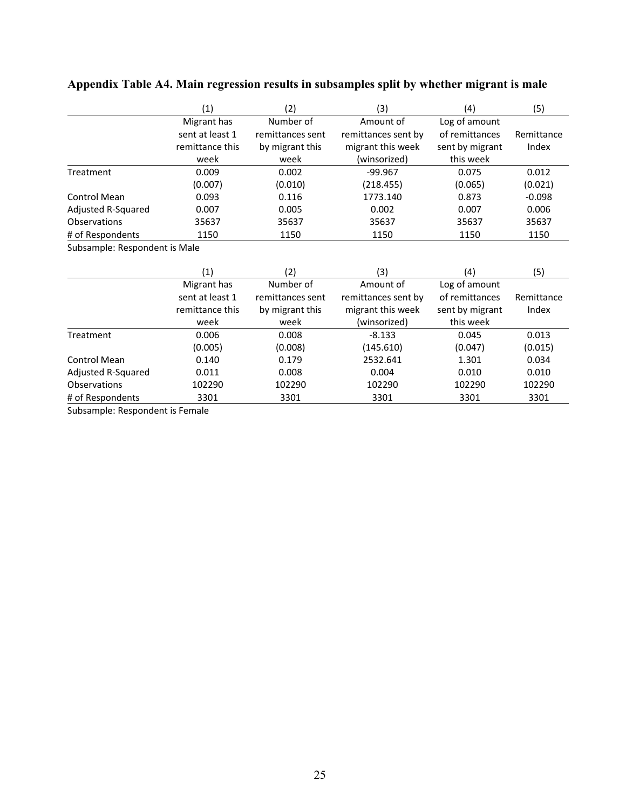| (5)        |
|------------|
|            |
| Remittance |
| Index      |
|            |
| 0.012      |
| (0.021)    |
| $-0.098$   |
| 0.006      |
| 35637      |
| 1150       |
|            |

### **Appendix Table A4. Main regression results in subsamples split by whether migrant is male**

Subsample: Respondent is Male

|                     | (1)             | (2               | (3)                 | (4)             | (5)        |
|---------------------|-----------------|------------------|---------------------|-----------------|------------|
|                     | Migrant has     | Number of        | Amount of           | Log of amount   |            |
|                     | sent at least 1 | remittances sent | remittances sent by | of remittances  | Remittance |
|                     | remittance this | by migrant this  | migrant this week   | sent by migrant | Index      |
|                     | week            | week             | (winsorized)        | this week       |            |
| Treatment           | 0.006           | 0.008            | $-8.133$            | 0.045           | 0.013      |
|                     | (0.005)         | (0.008)          | (145.610)           | (0.047)         | (0.015)    |
| Control Mean        | 0.140           | 0.179            | 2532.641            | 1.301           | 0.034      |
| Adjusted R-Squared  | 0.011           | 0.008            | 0.004               | 0.010           | 0.010      |
| <b>Observations</b> | 102290          | 102290           | 102290              | 102290          | 102290     |
| # of Respondents    | 3301            | 3301             | 3301                | 3301            | 3301       |

Subsample: Respondent is Female